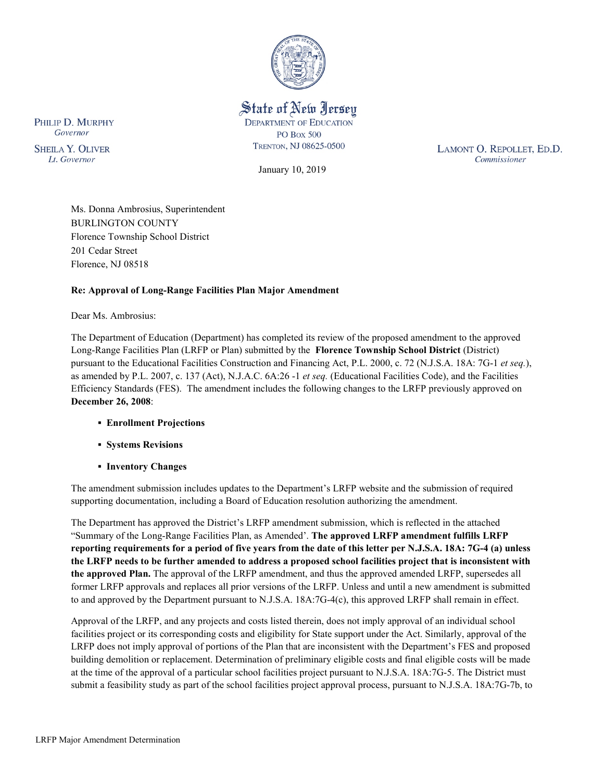

# State of New Jersey **DEPARTMENT OF EDUCATION PO Box 500** TRENTON, NJ 08625-0500

January 10, 2019

LAMONT O. REPOLLET, ED.D. Commissioner

PHILIP D. MURPHY Governor

**SHEILA Y. OLIVER** Lt. Governor

> Ms. Donna Ambrosius, Superintendent BURLINGTON COUNTY Florence Township School District 201 Cedar Street Florence, NJ 08518

## **Re: Approval of Long-Range Facilities Plan Major Amendment**

Dear Ms. Ambrosius:

The Department of Education (Department) has completed its review of the proposed amendment to the approved Long-Range Facilities Plan (LRFP or Plan) submitted by the **Florence Township School District** (District) pursuant to the Educational Facilities Construction and Financing Act, P.L. 2000, c. 72 (N.J.S.A. 18A: 7G-1 *et seq.*), as amended by P.L. 2007, c. 137 (Act), N.J.A.C. 6A:26 -1 *et seq.* (Educational Facilities Code), and the Facilities Efficiency Standards (FES). The amendment includes the following changes to the LRFP previously approved on **December 26, 2008**:

- **Enrollment Projections**
- **Systems Revisions**
- **Inventory Changes**

The amendment submission includes updates to the Department's LRFP website and the submission of required supporting documentation, including a Board of Education resolution authorizing the amendment.

The Department has approved the District's LRFP amendment submission, which is reflected in the attached "Summary of the Long-Range Facilities Plan, as Amended'. **The approved LRFP amendment fulfills LRFP reporting requirements for a period of five years from the date of this letter per N.J.S.A. 18A: 7G-4 (a) unless the LRFP needs to be further amended to address a proposed school facilities project that is inconsistent with the approved Plan.** The approval of the LRFP amendment, and thus the approved amended LRFP, supersedes all former LRFP approvals and replaces all prior versions of the LRFP. Unless and until a new amendment is submitted to and approved by the Department pursuant to N.J.S.A. 18A:7G-4(c), this approved LRFP shall remain in effect.

Approval of the LRFP, and any projects and costs listed therein, does not imply approval of an individual school facilities project or its corresponding costs and eligibility for State support under the Act. Similarly, approval of the LRFP does not imply approval of portions of the Plan that are inconsistent with the Department's FES and proposed building demolition or replacement. Determination of preliminary eligible costs and final eligible costs will be made at the time of the approval of a particular school facilities project pursuant to N.J.S.A. 18A:7G-5. The District must submit a feasibility study as part of the school facilities project approval process, pursuant to N.J.S.A. 18A:7G-7b, to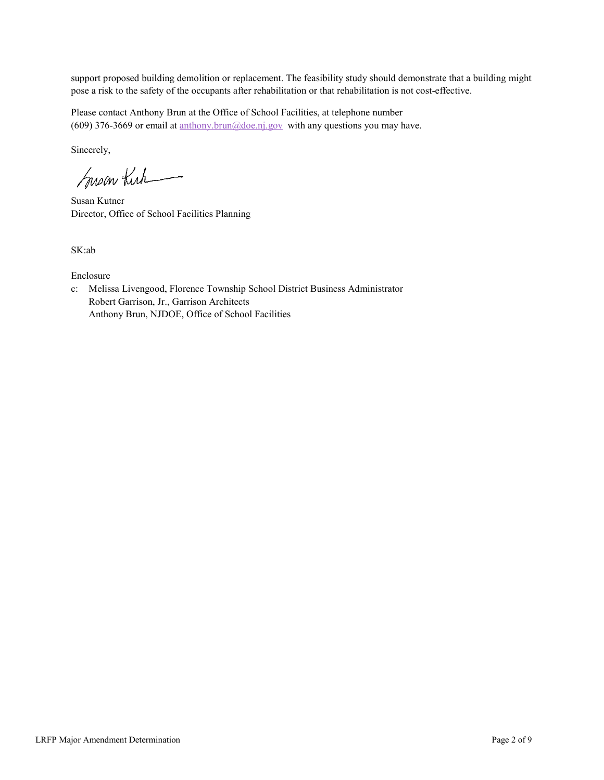support proposed building demolition or replacement. The feasibility study should demonstrate that a building might pose a risk to the safety of the occupants after rehabilitation or that rehabilitation is not cost-effective.

Please contact Anthony Brun at the Office of School Facilities, at telephone number (609) 376-3669 or email at  $\frac{\text{anthony.brun}(\partial \phi) \text{doe.ni.gov}}{\text{with any questions you may have.}}$ 

Sincerely,

Susan Kich

Susan Kutner Director, Office of School Facilities Planning

SK:ab

Enclosure

c: Melissa Livengood, Florence Township School District Business Administrator Robert Garrison, Jr., Garrison Architects Anthony Brun, NJDOE, Office of School Facilities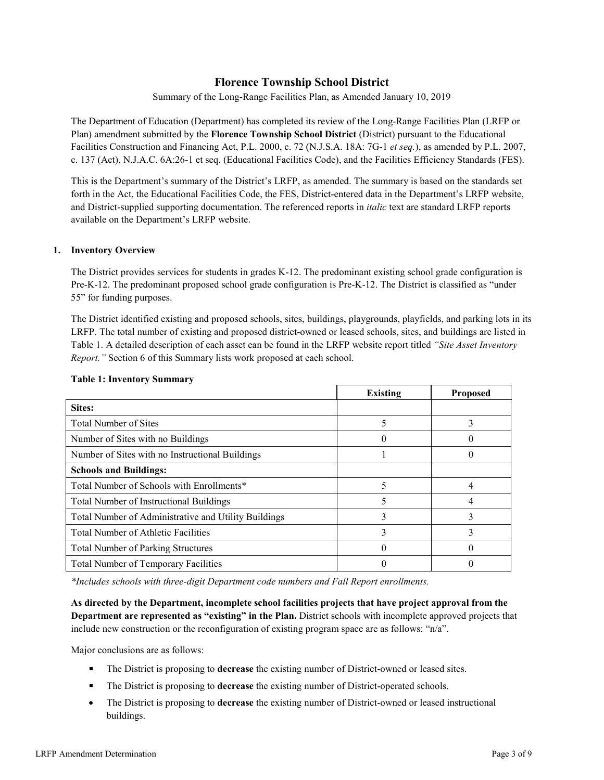# **Florence Township School District**

Summary of the Long-Range Facilities Plan, as Amended January 10, 2019

The Department of Education (Department) has completed its review of the Long-Range Facilities Plan (LRFP or Plan) amendment submitted by the **Florence Township School District** (District) pursuant to the Educational Facilities Construction and Financing Act, P.L. 2000, c. 72 (N.J.S.A. 18A: 7G-1 *et seq.*), as amended by P.L. 2007, c. 137 (Act), N.J.A.C. 6A:26-1 et seq. (Educational Facilities Code), and the Facilities Efficiency Standards (FES).

This is the Department's summary of the District's LRFP, as amended. The summary is based on the standards set forth in the Act, the Educational Facilities Code, the FES, District-entered data in the Department's LRFP website, and District-supplied supporting documentation. The referenced reports in *italic* text are standard LRFP reports available on the Department's LRFP website.

#### **1. Inventory Overview**

The District provides services for students in grades K-12. The predominant existing school grade configuration is Pre-K-12. The predominant proposed school grade configuration is Pre-K-12. The District is classified as "under 55" for funding purposes.

The District identified existing and proposed schools, sites, buildings, playgrounds, playfields, and parking lots in its LRFP. The total number of existing and proposed district-owned or leased schools, sites, and buildings are listed in Table 1. A detailed description of each asset can be found in the LRFP website report titled *"Site Asset Inventory Report."* Section 6 of this Summary lists work proposed at each school.

|                                                      | <b>Existing</b> | <b>Proposed</b> |
|------------------------------------------------------|-----------------|-----------------|
| Sites:                                               |                 |                 |
| <b>Total Number of Sites</b>                         |                 |                 |
| Number of Sites with no Buildings                    |                 |                 |
| Number of Sites with no Instructional Buildings      |                 |                 |
| <b>Schools and Buildings:</b>                        |                 |                 |
| Total Number of Schools with Enrollments*            | 5               |                 |
| Total Number of Instructional Buildings              |                 |                 |
| Total Number of Administrative and Utility Buildings |                 |                 |
| Total Number of Athletic Facilities                  |                 |                 |
| <b>Total Number of Parking Structures</b>            |                 |                 |
| Total Number of Temporary Facilities                 |                 |                 |

#### **Table 1: Inventory Summary**

*\*Includes schools with three-digit Department code numbers and Fall Report enrollments.*

**As directed by the Department, incomplete school facilities projects that have project approval from the Department are represented as "existing" in the Plan.** District schools with incomplete approved projects that include new construction or the reconfiguration of existing program space are as follows: "n/a".

Major conclusions are as follows:

- The District is proposing to **decrease** the existing number of District-owned or leased sites.
- The District is proposing to **decrease** the existing number of District-operated schools.
- The District is proposing to **decrease** the existing number of District-owned or leased instructional buildings.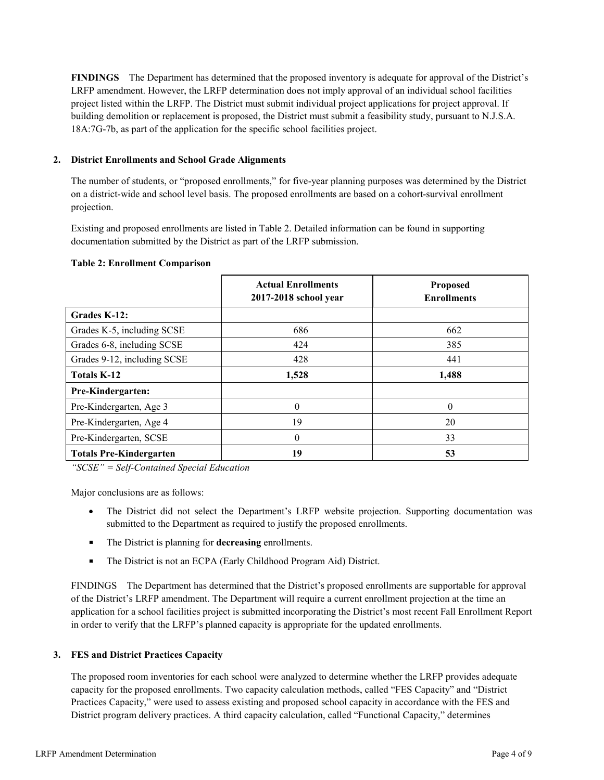**FINDINGS** The Department has determined that the proposed inventory is adequate for approval of the District's LRFP amendment. However, the LRFP determination does not imply approval of an individual school facilities project listed within the LRFP. The District must submit individual project applications for project approval. If building demolition or replacement is proposed, the District must submit a feasibility study, pursuant to N.J.S.A. 18A:7G-7b, as part of the application for the specific school facilities project.

### **2. District Enrollments and School Grade Alignments**

The number of students, or "proposed enrollments," for five-year planning purposes was determined by the District on a district-wide and school level basis. The proposed enrollments are based on a cohort-survival enrollment projection.

Existing and proposed enrollments are listed in Table 2. Detailed information can be found in supporting documentation submitted by the District as part of the LRFP submission.

|                                | <b>Actual Enrollments</b><br>2017-2018 school year | <b>Proposed</b><br><b>Enrollments</b> |
|--------------------------------|----------------------------------------------------|---------------------------------------|
| Grades K-12:                   |                                                    |                                       |
| Grades K-5, including SCSE     | 686                                                | 662                                   |
| Grades 6-8, including SCSE     | 424                                                | 385                                   |
| Grades 9-12, including SCSE    | 428                                                | 441                                   |
| <b>Totals K-12</b>             | 1,528                                              | 1,488                                 |
| Pre-Kindergarten:              |                                                    |                                       |
| Pre-Kindergarten, Age 3        | 0                                                  | $\theta$                              |
| Pre-Kindergarten, Age 4        | 19                                                 | 20                                    |
| Pre-Kindergarten, SCSE         | $\Omega$                                           | 33                                    |
| <b>Totals Pre-Kindergarten</b> | 19                                                 | 53                                    |

#### **Table 2: Enrollment Comparison**

*"SCSE" = Self-Contained Special Education*

Major conclusions are as follows:

- The District did not select the Department's LRFP website projection. Supporting documentation was submitted to the Department as required to justify the proposed enrollments.
- The District is planning for **decreasing** enrollments.
- The District is not an ECPA (Early Childhood Program Aid) District.

FINDINGS The Department has determined that the District's proposed enrollments are supportable for approval of the District's LRFP amendment. The Department will require a current enrollment projection at the time an application for a school facilities project is submitted incorporating the District's most recent Fall Enrollment Report in order to verify that the LRFP's planned capacity is appropriate for the updated enrollments.

### **3. FES and District Practices Capacity**

The proposed room inventories for each school were analyzed to determine whether the LRFP provides adequate capacity for the proposed enrollments. Two capacity calculation methods, called "FES Capacity" and "District Practices Capacity," were used to assess existing and proposed school capacity in accordance with the FES and District program delivery practices. A third capacity calculation, called "Functional Capacity," determines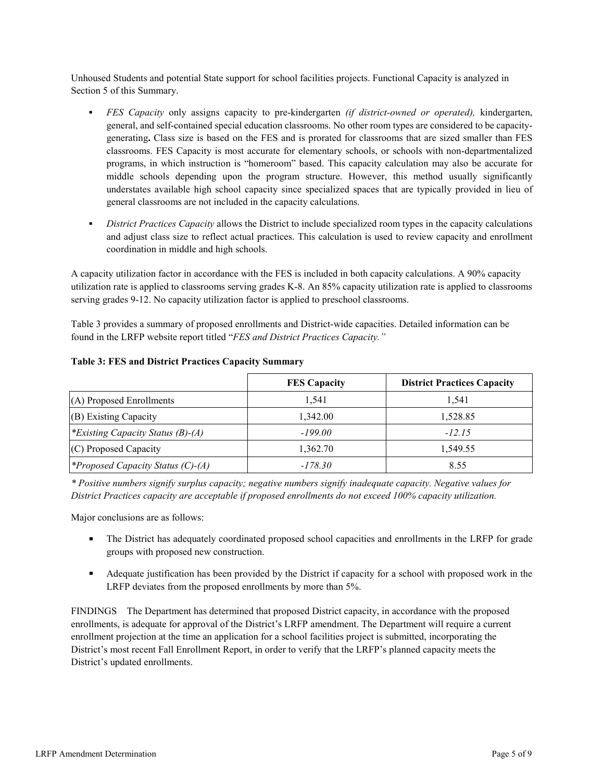Unhoused Students and potential State support for school facilities projects. Functional Capacity is analyzed in Section 5 of this Summary.

- *FES Capacity* only assigns capacity to pre-kindergarten *(if district-owned or operated),* kindergarten, general, and self-contained special education classrooms. No other room types are considered to be capacitygenerating**.** Class size is based on the FES and is prorated for classrooms that are sized smaller than FES classrooms. FES Capacity is most accurate for elementary schools, or schools with non-departmentalized programs, in which instruction is "homeroom" based. This capacity calculation may also be accurate for middle schools depending upon the program structure. However, this method usually significantly understates available high school capacity since specialized spaces that are typically provided in lieu of general classrooms are not included in the capacity calculations.
- *District Practices Capacity* allows the District to include specialized room types in the capacity calculations and adjust class size to reflect actual practices. This calculation is used to review capacity and enrollment coordination in middle and high schools.

A capacity utilization factor in accordance with the FES is included in both capacity calculations. A 90% capacity utilization rate is applied to classrooms serving grades K-8. An 85% capacity utilization rate is applied to classrooms serving grades 9-12. No capacity utilization factor is applied to preschool classrooms.

Table 3 provides a summary of proposed enrollments and District-wide capacities. Detailed information can be found in the LRFP website report titled "*FES and District Practices Capacity."*

|                                          | <b>FES Capacity</b> | <b>District Practices Capacity</b> |
|------------------------------------------|---------------------|------------------------------------|
| $(A)$ Proposed Enrollments               | 1,541               | 1.541                              |
| $(B)$ Existing Capacity                  | 1.342.00            | 1,528.85                           |
| <i>*Existing Capacity Status (B)-(A)</i> | $-199.00$           | $-12.15$                           |
| $(C)$ Proposed Capacity                  | 1,362.70            | 1,549.55                           |
| <i>*Proposed Capacity Status (C)-(A)</i> | $-178.30$           | 8.55                               |

### **Table 3: FES and District Practices Capacity Summary**

*\* Positive numbers signify surplus capacity; negative numbers signify inadequate capacity. Negative values for District Practices capacity are acceptable if proposed enrollments do not exceed 100% capacity utilization.*

Major conclusions are as follows:

- The District has adequately coordinated proposed school capacities and enrollments in the LRFP for grade groups with proposed new construction.
- Adequate justification has been provided by the District if capacity for a school with proposed work in the LRFP deviates from the proposed enrollments by more than 5%.

FINDINGS The Department has determined that proposed District capacity, in accordance with the proposed enrollments, is adequate for approval of the District's LRFP amendment. The Department will require a current enrollment projection at the time an application for a school facilities project is submitted, incorporating the District's most recent Fall Enrollment Report, in order to verify that the LRFP's planned capacity meets the District's updated enrollments.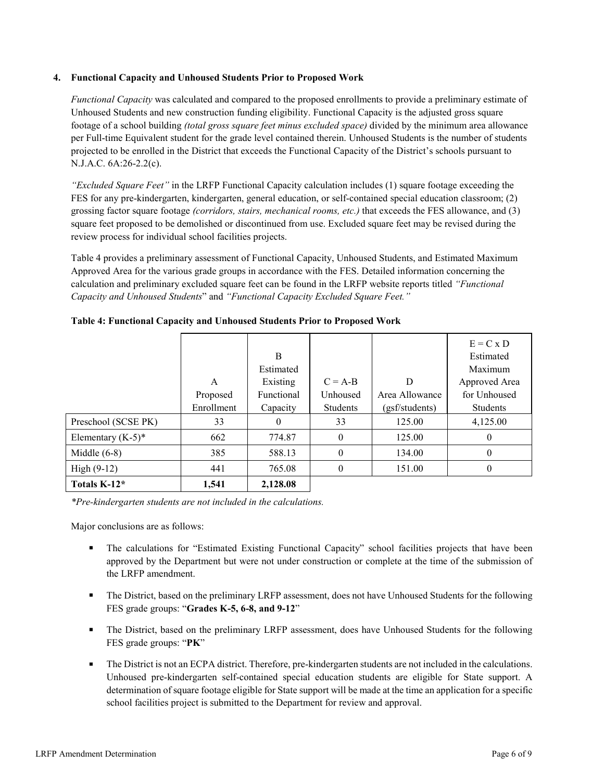### **4. Functional Capacity and Unhoused Students Prior to Proposed Work**

*Functional Capacity* was calculated and compared to the proposed enrollments to provide a preliminary estimate of Unhoused Students and new construction funding eligibility. Functional Capacity is the adjusted gross square footage of a school building *(total gross square feet minus excluded space)* divided by the minimum area allowance per Full-time Equivalent student for the grade level contained therein. Unhoused Students is the number of students projected to be enrolled in the District that exceeds the Functional Capacity of the District's schools pursuant to N.J.A.C. 6A:26-2.2(c).

*"Excluded Square Feet"* in the LRFP Functional Capacity calculation includes (1) square footage exceeding the FES for any pre-kindergarten, kindergarten, general education, or self-contained special education classroom; (2) grossing factor square footage *(corridors, stairs, mechanical rooms, etc.)* that exceeds the FES allowance, and (3) square feet proposed to be demolished or discontinued from use. Excluded square feet may be revised during the review process for individual school facilities projects.

Table 4 provides a preliminary assessment of Functional Capacity, Unhoused Students, and Estimated Maximum Approved Area for the various grade groups in accordance with the FES. Detailed information concerning the calculation and preliminary excluded square feet can be found in the LRFP website reports titled *"Functional Capacity and Unhoused Students*" and *"Functional Capacity Excluded Square Feet."*

|                      |            |            |           |                | $E = C \times D$ |
|----------------------|------------|------------|-----------|----------------|------------------|
|                      |            | B          |           |                | Estimated        |
|                      |            | Estimated  |           |                | Maximum          |
|                      | A          | Existing   | $C = A-B$ | D              | Approved Area    |
|                      | Proposed   | Functional | Unhoused  | Area Allowance | for Unhoused     |
|                      | Enrollment | Capacity   | Students  | (gsf/students) | Students         |
| Preschool (SCSE PK)  | 33         | 0          | 33        | 125.00         | 4,125.00         |
| Elementary $(K-5)^*$ | 662        | 774.87     | $\theta$  | 125.00         | $\theta$         |
| Middle $(6-8)$       | 385        | 588.13     | $\theta$  | 134.00         | $\theta$         |
| High $(9-12)$        | 441        | 765.08     | $\theta$  | 151.00         | $\theta$         |
| Totals K-12*         | 1,541      | 2,128.08   |           |                |                  |

**Table 4: Functional Capacity and Unhoused Students Prior to Proposed Work**

*\*Pre-kindergarten students are not included in the calculations.* 

Major conclusions are as follows:

- The calculations for "Estimated Existing Functional Capacity" school facilities projects that have been approved by the Department but were not under construction or complete at the time of the submission of the LRFP amendment.
- The District, based on the preliminary LRFP assessment, does not have Unhoused Students for the following FES grade groups: "**Grades K-5, 6-8, and 9-12**"
- The District, based on the preliminary LRFP assessment, does have Unhoused Students for the following FES grade groups: "**PK**"
- The District is not an ECPA district. Therefore, pre-kindergarten students are not included in the calculations. Unhoused pre-kindergarten self-contained special education students are eligible for State support. A determination of square footage eligible for State support will be made at the time an application for a specific school facilities project is submitted to the Department for review and approval.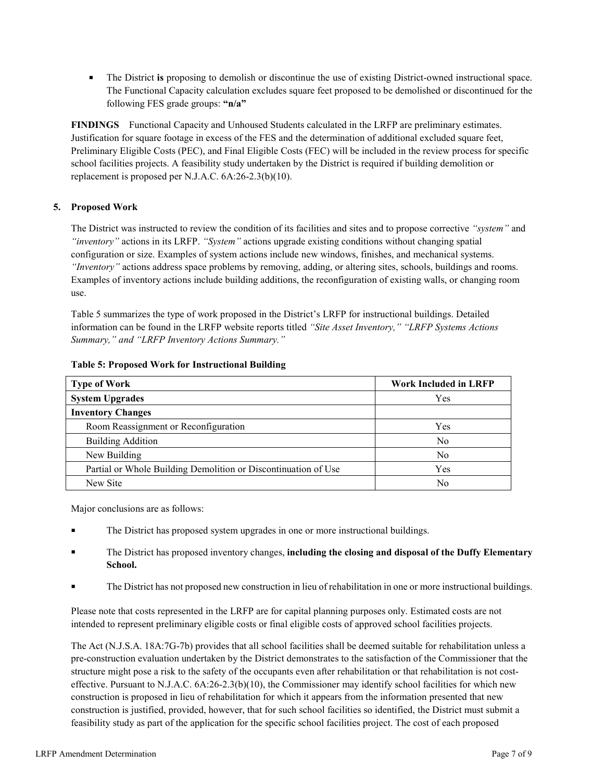The District **is** proposing to demolish or discontinue the use of existing District-owned instructional space. The Functional Capacity calculation excludes square feet proposed to be demolished or discontinued for the following FES grade groups: **"n/a"**

**FINDINGS** Functional Capacity and Unhoused Students calculated in the LRFP are preliminary estimates. Justification for square footage in excess of the FES and the determination of additional excluded square feet, Preliminary Eligible Costs (PEC), and Final Eligible Costs (FEC) will be included in the review process for specific school facilities projects. A feasibility study undertaken by the District is required if building demolition or replacement is proposed per N.J.A.C. 6A:26-2.3(b)(10).

## **5. Proposed Work**

The District was instructed to review the condition of its facilities and sites and to propose corrective *"system"* and *"inventory"* actions in its LRFP. *"System"* actions upgrade existing conditions without changing spatial configuration or size. Examples of system actions include new windows, finishes, and mechanical systems. *"Inventory"* actions address space problems by removing, adding, or altering sites, schools, buildings and rooms. Examples of inventory actions include building additions, the reconfiguration of existing walls, or changing room use.

Table 5 summarizes the type of work proposed in the District's LRFP for instructional buildings. Detailed information can be found in the LRFP website reports titled *"Site Asset Inventory," "LRFP Systems Actions Summary," and "LRFP Inventory Actions Summary."* 

| <b>Type of Work</b>                                            | <b>Work Included in LRFP</b> |
|----------------------------------------------------------------|------------------------------|
| <b>System Upgrades</b>                                         | Yes                          |
| <b>Inventory Changes</b>                                       |                              |
| Room Reassignment or Reconfiguration                           | Yes                          |
| <b>Building Addition</b>                                       | No                           |
| New Building                                                   | N <sub>o</sub>               |
| Partial or Whole Building Demolition or Discontinuation of Use | Yes                          |
| New Site                                                       | No                           |

#### **Table 5: Proposed Work for Instructional Building**

Major conclusions are as follows:

- The District has proposed system upgrades in one or more instructional buildings.
- The District has proposed inventory changes, **including the closing and disposal of the Duffy Elementary School.**
- The District has not proposed new construction in lieu of rehabilitation in one or more instructional buildings.

Please note that costs represented in the LRFP are for capital planning purposes only. Estimated costs are not intended to represent preliminary eligible costs or final eligible costs of approved school facilities projects.

The Act (N.J.S.A. 18A:7G-7b) provides that all school facilities shall be deemed suitable for rehabilitation unless a pre-construction evaluation undertaken by the District demonstrates to the satisfaction of the Commissioner that the structure might pose a risk to the safety of the occupants even after rehabilitation or that rehabilitation is not costeffective. Pursuant to N.J.A.C. 6A:26-2.3(b)(10), the Commissioner may identify school facilities for which new construction is proposed in lieu of rehabilitation for which it appears from the information presented that new construction is justified, provided, however, that for such school facilities so identified, the District must submit a feasibility study as part of the application for the specific school facilities project. The cost of each proposed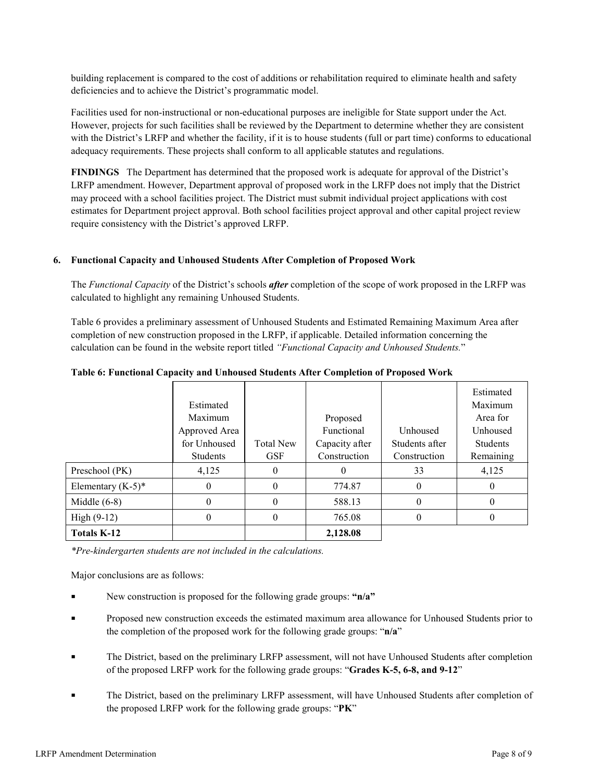building replacement is compared to the cost of additions or rehabilitation required to eliminate health and safety deficiencies and to achieve the District's programmatic model.

Facilities used for non-instructional or non-educational purposes are ineligible for State support under the Act. However, projects for such facilities shall be reviewed by the Department to determine whether they are consistent with the District's LRFP and whether the facility, if it is to house students (full or part time) conforms to educational adequacy requirements. These projects shall conform to all applicable statutes and regulations.

**FINDINGS** The Department has determined that the proposed work is adequate for approval of the District's LRFP amendment. However, Department approval of proposed work in the LRFP does not imply that the District may proceed with a school facilities project. The District must submit individual project applications with cost estimates for Department project approval. Both school facilities project approval and other capital project review require consistency with the District's approved LRFP.

#### **6. Functional Capacity and Unhoused Students After Completion of Proposed Work**

The *Functional Capacity* of the District's schools *after* completion of the scope of work proposed in the LRFP was calculated to highlight any remaining Unhoused Students.

Table 6 provides a preliminary assessment of Unhoused Students and Estimated Remaining Maximum Area after completion of new construction proposed in the LRFP, if applicable. Detailed information concerning the calculation can be found in the website report titled *"Functional Capacity and Unhoused Students.*"

|                      | Estimated<br>Maximum<br>Approved Area |                  | Proposed<br>Functional | <b>Unhoused</b> | Estimated<br>Maximum<br>Area for<br>Unhoused |
|----------------------|---------------------------------------|------------------|------------------------|-----------------|----------------------------------------------|
|                      | for Unhoused                          | <b>Total New</b> | Capacity after         | Students after  | <b>Students</b>                              |
|                      | Students                              | <b>GSF</b>       | Construction           | Construction    | Remaining                                    |
| Preschool (PK)       | 4,125                                 | 0                | $_{0}$                 | 33              | 4,125                                        |
| Elementary $(K-5)^*$ | 0                                     | 0                | 774.87                 | 0               | $_{0}$                                       |
| Middle $(6-8)$       |                                       | 0                | 588.13                 | 0               | $_{0}$                                       |
| High $(9-12)$        | 0                                     | 0                | 765.08                 |                 |                                              |
| <b>Totals K-12</b>   |                                       |                  | 2,128.08               |                 |                                              |

**Table 6: Functional Capacity and Unhoused Students After Completion of Proposed Work**

*\*Pre-kindergarten students are not included in the calculations.*

Major conclusions are as follows:

- New construction is proposed for the following grade groups: **"n/a"**
- Proposed new construction exceeds the estimated maximum area allowance for Unhoused Students prior to the completion of the proposed work for the following grade groups: "**n/a**"
- The District, based on the preliminary LRFP assessment, will not have Unhoused Students after completion of the proposed LRFP work for the following grade groups: "**Grades K-5, 6-8, and 9-12**"
- The District, based on the preliminary LRFP assessment, will have Unhoused Students after completion of the proposed LRFP work for the following grade groups: "**PK**"